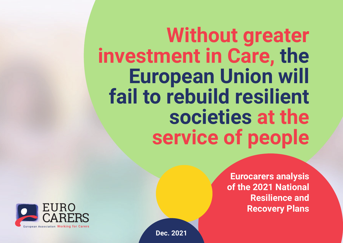**Without greater investment in Care, the European Union will fail to rebuild resilient societies at the service of people**

> **Eurocarers analysis of the 2021 National Resilience and Recovery Plans**



**Dec. 2021**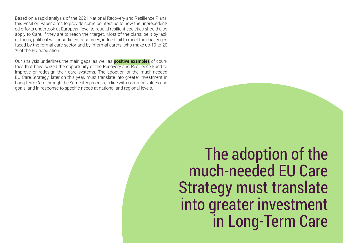Based on a rapid analysis of the 2021 National Recovery and Resilience Plans, this Position Paper aims to provide some pointers as to how the unprecedented efforts undertook at European level to rebuild resilient societies should also apply to Care, if they are to reach their target. Most of the plans, be it by lack of focus, political will or sufficient resources, indeed fail to meet the challenges faced by the formal care sector and by informal carers, who make up 10 to 20 % of the EU population.

Our analysis underlines the main gaps, as well as **positive examples** of countries that have seized the opportunity of the Recovery and Resilience Fund to improve or redesign their care systems. The adoption of the much-needed EU Care Strategy, later on this year, must translate into greater investment in Long-term Care through the Semester process, in line with common values and goals, and in response to specific needs at national and regional levels.

> The adoption of the much-needed EU Care Strategy must translate into greater investment in Long-Term Care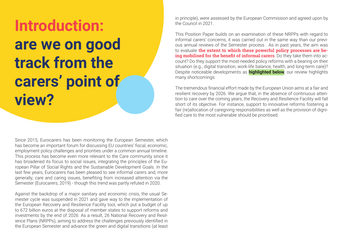# **Introduction: are we on good track from the carers' point of view?**

Since 2015, Eurocarers has been monitoring the European Semester, which has become an important forum for discussing EU countries' fiscal, economic, employment policy challenges and priorities under a common annual timeline. This process has become even more relevant to the Care community since it has broadened its focus to social issues, integrating the principles of the European Pillar of Social Rights and the Sustainable Development Goals. In the last few years, Eurocarers has been pleased to see informal carers and, more generally, care and caring issues, benefiting from increased attention via the Semester (Eurocarers, 2019) - though this trend was partly refuted in 2020.

Against the backdrop of a major sanitary and economic crisis, the usual Semester cycle was suspended in 2021 and gave way to the implementation of the European Recovery and Resilience Facility tool, which put a budget of up to 672 billion euros at the disposal of member states to support reforms and investments by the end of 2026. As a result, 26 National Recovery and Resilience Plans (NRPPs), aiming to address the challenges previously identified in the European Semester and advance the green and digital transitions (at least in principle), were assessed by the European Commission and agreed upon by the Council in 2021.

This Position Paper builds on an examination of these NRPPs with regard to informal carers' concerns, it was carried out in the same way than our previous annual reviews of the Semester process . As in past years, the aim was to evaluate **the extent to which these powerful policy processes are being mobilised for the benefit of informal carers**. Do they take them into account? Do they support the most-needed policy reforms with a bearing on their situation (e.g., digital transition, work-life balance, health, and long-term care)? Despite noticeable developments as **highlighted below**, our review highlights many shortcomings.

The tremendous financial effort made by the European Union aims at a fair and resilient recovery by 2026. We argue that, in the absence of continuous attention to care over the coming years, the Recovery and Resilience Facility will fall short of its objective. For instance, support to innovative reforms fostering a fair (re)allocation of caregiving responsibilities as well as the provision of dignified care to the most vulnerable should be prioritised.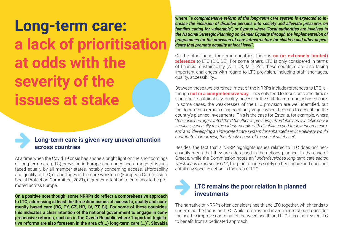### **Long-term care: a lack of prioritisation at odds with the severity of the issues at stake**



#### Long-term care is given very uneven attention **across countries**

At a time when the Covid 19 crisis has shone a bright light on the shortcomings of long-term care (LTC) provision in Europe and underlined a range of issues faced equally by all member states, notably concerning access, affordability and quality of LTC, or shortages in the care workforce (European Commission; Social Protection Committee, 2021), a greater attention to care should be promoted across Europe.

**On a positive note though, some NRRPs do reflect a comprehensive approach to LTC, addressing at least the three dimensions of access to, quality and community-based care (BG, CY, CZ, HR, LV, PT, SI). For some of these countries, this indicates a clear intention of the national government to engage in comprehensive reforms, such as in the Czech Republic where 'Important legislative reforms are also foreseen in the area of(...) long-term care (…)'', Slovakia**  **where '***'a comprehensive reform of the long-term care system is expected to increase the inclusion of disabled persons into society and alleviate pressures on families caring for vulnerable'', or Cyprus where "local authorities are involved in the National Strategic Planning on Gender Equality through the implementation of programmes for the provision of care infrastructure for children and other dependents that promote equality at local level***".**

On the other hand, for some countries, there is **no (or extremely limited) reference** to LTC (DK, DE). For some others, LTC is only considered in terms of financial sustainability (AT, LUX, MT). Yet, these countries are also facing important challenges with regard to LTC provision, including staff shortages, quality, accessibility…

Between these two extremes, most of the NRRPs include references to LTC, although **not in a comprehensive way**. They only tend to focus on some dimensions, be it sustainability, quality, access or the shift to community-based care. In some cases, the weaknesses of the LTC provision are well identified, but the documents remain disappointingly vague when it comes to describing the country's planned investments. This is the case for Estonia, for example, where "*the crisis has aggravated the difficulties in providing affordable and available social services, especially for the elderly, people with disabilities and for low-income earners" and "developing an integrated care system for enhanced service delivery would contribute to improving the effectiveness of the social safety net*".

Besides, the fact that a NRRP highlights issues related to LTC does not necessarily mean that they are addressed in the actions planned. In the case of Greece, while the Commission notes an "*underdeveloped long-term care sector, which leads to unmet needs*", the plan focuses solely on healthcare and does not entail any specific action in the area of LTC.

### LTC remains the poor relation in planned **investments**

The narrative of NRRPs often considers health and LTC together, which tends to undermine the focus on LTC. While reforms and investments should consider the need to improve coordination between health and LTC, it is also key for LTC to benefit from a dedicated approach.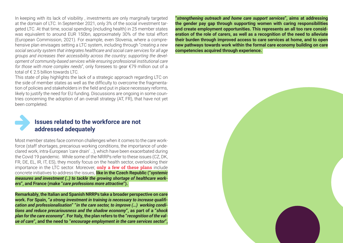In keeping with its lack of visibility , investments are only marginally targeted at the domain of LTC. In September 2021, only 3% of the social investment targeted LTC. At that time, social spending (including health) in 25 member states was equivalent to around EUR 150bn, approximately 30% of the total effort (European Commission, 2021). For example, even Slovenia, where a comprehensive plan envisages setting a LTC system, including through "*creating a new social security system that integrates healthcare and social care services for all age groups and increases their accessibility across the country; supporting the development of community-based services while ensuring professional institutional care for those with more complex needs*", only foresees to gear €79 million out of a total of  $f \in 2.5$  billion towards LTC.

This state of play highlights the lack of a strategic approach regarding LTC on the side of member states as well as the difficulty to overcome the fragmentation of policies and stakeholders in the field and put in place necessary reforms, likely to justify the need for EU funding. Discussions are ongoing in some countries concerning the adoption of an overall strategy (AT, FR), that have not yet been completed.



#### **Issues related to the workforce are not addressed adequately**

Most member states face common challenges when it comes to the care workforce (staff shortages, precarious working conditions, the importance of undeclared work, intra-European 'care drain' …), which have been exacerbated during the Covid 19 pandemic. While some of the NRRPs refer to these issues (CZ, DK, FR, DE, EL, IR, IT, ES), they mostly focus on the health sector, overlooking their importance in the LTC sector. Moreover, **only a few of these plans** include concrete initiatives to address the issues, **like in the Czech Republic ("***systemic measures and investment (..) to tackle the growing shortage of healthcare workers***", and France (make "***care professions more attractive***").** 

**Remarkably, the Italian and Spanish NRRPs take a broader perspective on care work. For Spain, "***a strong investment in training is necessary to increase qualification and professionalisation***" "***in the care sector, to improve (…) working conditions and reduce precariousness and the shadow economy***", as part of a "***shock plan for the care economy***". For Italy, the plan refers to the "***recognition of the value of care***", and the need to "***encourage employment in the care services sector***",** 

**"***strengthening outreach and home care support services***", aims at addressing the gender pay gap through supporting women with caring responsibilities and create employment opportunities. This represents an all too rare consideration of the role of carers, as well as a recognition of the need to alleviate their burden through improved access to care services at home, and to open new pathways towards work within the formal care economy building on care competencies acquired through experience.**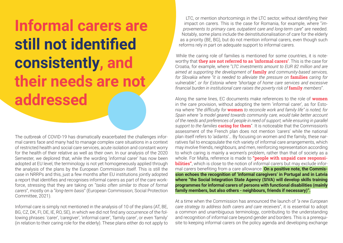**Informal carers are still not identified consistently, and their needs are not addressed**

The outbreak of COVID-19 has dramatically exacerbated the challenges informal carers face and many had to manage complex care situations in a context of restricted health and social care services, acute isolation and constant worry for the health of their relative as well as their own. In our analysis of the 2020 Semester, we deplored that, while the wording 'informal carer' has now been adopted at EU level, the terminology is not yet homogeneously applied through the analysis of the plans by the European Commission itself. This is still the case in NRRPs and this, just a few months after EU institutions jointly adopted a report that identifies and recognises informal carers as part of the care workforce, stressing that they are taking on "*tasks often similar to those of formal carers*", mostly on a "*long-term basis*" (European Commission; Social Protection Committee, 2021).

Informal care is simply not mentioned in the analysis of 10 of the plans (AT, BE, BG, CZ, DK, FI, DE, IE, RO, SE), in which we did not find any occurrence of the following phrases: 'carer', 'caregiver', 'informal carer', 'family carer', or even 'family' (in relation to their caring role for the elderly). These plans either do not apply to

LTC, or mention shortcomings in the LTC sector, without identifying their impact on carers. This is the case for Romania, for example, where "*improvements to primary care, outpatient care and long-term care*" are needed. Notably, some plans include the deinstitutionalisation of care for the elderly as a priority (BE, BG), but do not mention informal carers, even though such reforms rely in part on adequate support to informal carers.

While the caring role of families is mentioned for some countries, it is noteworthy that **they are not referred to as 'informal carers'**. This is the case for Croatia, for example, where "*LTC investments amount to EUR 82 million and are aimed at supporting the development of* **family** *and community-based services, for Slovakia where "it is needed to alleviate the pressure on* **families** *caring for vulnerable", or for Estonia where "shortage of home care services and excessive financial burden in institutional care raises the poverty risk of* **family** *members*".

Along the same lines, EC documents make references to the role of **women** in the care provision, without adopting the term 'informal carer', as for Estonia where "*the difficulty for* **women** *to reconcile work and family life" is noted, for Spain where "a model geared towards community care, would take better account of the needs and preferences of people in need of support, while ensuring in parallel support to the families* **caring for them**". It is noticeable that the Commission's assessment of the French plan does not mention 'carers' while the national plan itself refers to 'aidants'… By focusing on women and the family, these narratives fail to encapsulate the rich variety of informal care arrangements, which may involve friends, neighbours, and men, reinforcing representation according to which caring is mainly a women's problem, rather than that of society as a whole. For Malta, reference is made to **"people with unpaid care responsibilities"**, which is close to the notion of informal carers but may exclude informal carers benefiting from a care allowance. **On a positive note, the Commission echoes the recognition of 'informal caregivers' in Portugal and in Latvia where "the Social Integration State Agency (SIVA) will develop skills training programmes for informal carers of persons with functional disabilities (mainly family members, but also others - neighbours, friends if necessary)".**

At a time when the Commission has announced the launch of *"a new European care strategy to address both carers and care receivers*", it is essential to adopt a common and unambiguous terminology, contributing to the understanding and recognition of informal care beyond gender and borders. This is a prerequisite to keeping informal carers on the policy agenda and developing exchange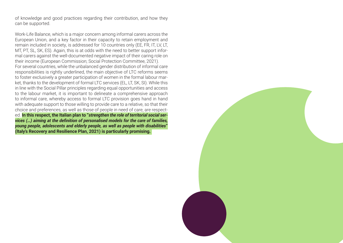of knowledge and good practices regarding their contribution, and how they can be supported.

Work-Life Balance, which is a major concern among informal carers across the European Union, and a key factor in their capacity to retain employment and remain included in society, is addressed for 10 countries only (EE, FR, IT, LV, LT, MT, PT, SL, SK, ES). Again, this is at odds with the need to better support informal carers against the well-documented negative impact of their caring role on their income (European Commission; Social Protection Committee, 2021). For several countries, while the unbalanced gender distribution of informal care responsibilities is rightly underlined, the main objective of LTC reforms seems to foster exclusively a greater participation of women in the formal labour market, thanks to the development of formal LTC services (EL, LT, SK, SI). While this in line with the Social Pillar principles regarding equal opportunities and access to the labour market, it is important to delineate a comprehensive approach to informal care, whereby access to formal LTC provision goes hand in hand with adequate support to those willing to provide care to a relative, so that their choice and preferences, as well as those of people in need of care, are respected. **In this respect, the Italian plan to "***strengthen the role of territorial social services (…) aiming at the definition of personalised models for the care of families, young people, adolescents and elderly people, as well as people with disabilities***" (Italy's Recovery and Resilience Plan, 2021) is particularly promising.** 

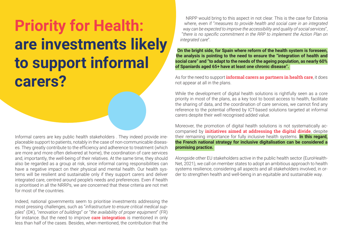## **Priority for Health: are investments likely to support informal carers?**

Informal carers are key public health stakeholders . They indeed provide irreplaceable support to patients, notably in the case of non-communicable diseases. They greatly contribute to the efficiency and adherence to treatment (which are more and more often delivered at home), the coordination of care services and, importantly, the well-being of their relatives. At the same time, they should also be regarded as a group at risk, since informal caring responsibilities can have a negative impact on their physical and mental health. Our health systems will be resilient and sustainable only if they support carers and deliver integrated care, centred around people's needs and preferences. Even if health is prioritised in all the NRRPs, we are concerned that these criteria are not met for most of the countries.

Indeed, national governments seem to prioritise investments addressing the most pressing challenges, such as "*infrastructure to ensure critical medical supplies*" (DK), "*renovation of buildings*" or "*the availability of proper equipment*" (FR) for instance. But the need to improve **care integration** is mentioned in only less than half of the cases. Besides, when mentioned, the contribution that the

NRPP would bring to this aspect in not clear. This is the case for Estonia where, even if "*measures to provide health and social care in an integrated way can be expected to improve the accessibility and quality of social services*", "*there is no specific commitment in the RRP to implement the Action Plan on integrated care*".

**On the bright side, for Spain where reform of the health system is foreseen, the analysis is pointing to the need to ensure the "integration of health and social care" and "to adapt to the needs of the ageing population, as nearly 60% of Spaniards aged 65+ have at least one chronic disease".** 

As for the need to support **informal carers as partners in health care**, it does not appear at all in the plans.

While the development of digital health solutions is rightfully seen as a core priority in most of the plans, as a key tool to boost access to health, facilitate the sharing of data, and the coordination of care services, we cannot find any reference to the potential offered by ICT-based solutions targeted at informal carers despite their well recognised added value.

Moreover, the promotion of digital health solutions is not systematically accompanied by **initiatives aimed at addressing the digital divide**, despite their remaining importance for fully inclusive health systems. **In this regard, the French national strategy for inclusive digitalisation can be considered a promising practice.** 

Alongside other EU stakeholders active in the public health sector (EuroHealth-Net, 2021), we call on member states to adopt an ambitious approach to health systems resilience, considering all aspects and all stakeholders involved, in order to strengthen health and well-being in an equitable and sustainable way.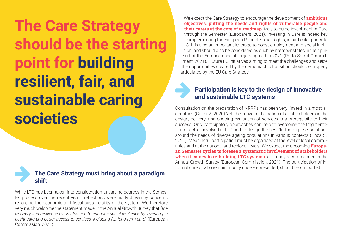**The Care Strategy should be the starting point for building resilient, fair, and sustainable caring societies**



While LTC has been taken into consideration at varying degrees in the Semester process over the recent years, reflections were firstly driven by concerns regarding the economic and fiscal sustainability of the system. We therefore very much welcome the statement made in the Annual Growth Survey that "*the recovery and resilience plans also aim to enhance social resilience by investing in healthcare and better access to services, including (…) long-term care*" (European Commission, 2021).

We expect the Care Strategy to encourage the development of **ambitious objectives, putting the needs and rights of vulnerable people and their carers at the core of a roadmap** likely to guide investment in Care through the Semester (Eurocarers, 2021). Investing in Care is indeed key to implementing the European Pillar of Social Rights, in particular principle 18. It is also an important leverage to boost employment and social inclusion, and should also be considered as such by member states in their pursuit of the European social targets agreed in 2021 (Porto Social Commitment, 2021). Future EU initiatives aiming to meet the challenges and seize the opportunities created by the demographic transition should be properly articulated by the EU Care Strategy.

#### Participation is key to the design of innovative **and sustainable LTC systems**

Consultation on the preparation of NRRPs has been very limited in almost all countries (Caimi V., 2020).Yet, the active participation of all stakeholders in the design, delivery, and ongoing evaluation of services is a prerequisite to their success. Only participatory approaches can help to overcome the fragmentation of actors involved in LTC and to design the best 'fit for purpose' solutions around the needs of diverse ageing populations in various contexts (Ilinca S., 2021). Meaningful participation must be organised at the level of local communities and at the national and regional levels. We expect the upcoming **European Semester cycles to foresee a systematic involvement of stakeholders when it comes to re-building LTC systems**, as clearly recommended in the Annual Growth Survey (European Commission, 2021). The participation of in-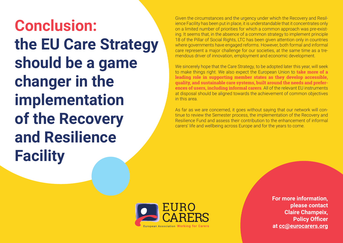**Conclusion: the EU Care Strategy should be a game changer in the implementation of the Recovery and Resilience Facility**

Given the circumstances and the urgency under which the Recovery and Resilience Facility has been put in place, it is understandable that it concentrates only on a limited number of priorities for which a common approach was pre-existing. It seems that, in the absence of a common strategy to implement principle 18 of the Pillar of Social Rights, LTC has been given attention only in countries where governments have engaged reforms. However, both formal and informal care represent a major challenge for our societies, at the same time as a tremendous driver of innovation, employment and economic development.

We sincerely hope that the Care Strategy, to be adopted later this year, will seek to make things right. We also expect the European Union to **take more of a leading role in supporting member states as they develop accessible, quality, and sustainable care systems, built around the needs and preferences of users, including informal carers**. All of the relevant EU instruments at disposal should be aligned towards the achievement of common objectives in this area.

As far as we are concerned, it goes without saying that our network will continue to review the Semester process, the implementation of the Recovery and Resilience Fund and assess their contribution to the enhancement of informal carers' life and wellbeing across Europe and for the years to come.



**For more information, please contact Claire Champeix, Policy Officer at [cc@eurocarers.org](mailto:cc@eurocarers.org)**